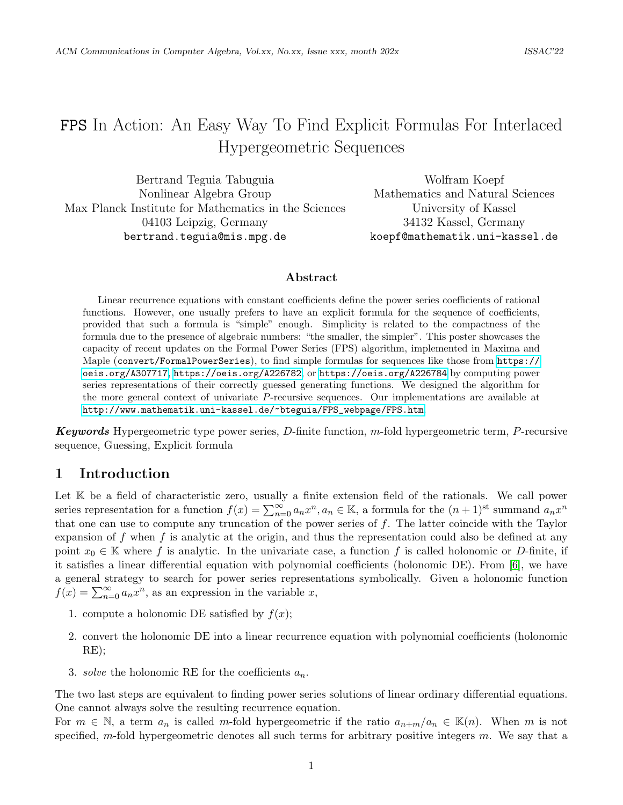# FPS In Action: An Easy Way To Find Explicit Formulas For Interlaced Hypergeometric Sequences

Bertrand Teguia Tabuguia Nonlinear Algebra Group Max Planck Institute for Mathematics in the Sciences 04103 Leipzig, Germany bertrand.teguia@mis.mpg.de

Wolfram Koepf Mathematics and Natural Sciences University of Kassel 34132 Kassel, Germany koepf@mathematik.uni-kassel.de

#### Abstract

Linear recurrence equations with constant coefficients define the power series coefficients of rational functions. However, one usually prefers to have an explicit formula for the sequence of coefficients, provided that such a formula is "simple" enough. Simplicity is related to the compactness of the formula due to the presence of algebraic numbers: "the smaller, the simpler". This poster showcases the capacity of recent updates on the Formal Power Series (FPS) algorithm, implemented in Maxima and Maple (convert/FormalPowerSeries), to find simple formulas for sequences like those from [https://](https://oeis.org/A307717) [oeis.org/A307717](https://oeis.org/A307717), <https://oeis.org/A226782>, or <https://oeis.org/A226784> by computing power series representations of their correctly guessed generating functions. We designed the algorithm for the more general context of univariate P-recursive sequences. Our implementations are available at [http://www.mathematik.uni-kassel.de/~bteguia/FPS\\_webpage/FPS.htm](http://www.mathematik.uni-kassel.de/~bteguia/FPS_webpage/FPS.htm).

**Keywords** Hypergeometric type power series, D-finite function,  $m$ -fold hypergeometric term, P-recursive sequence, Guessing, Explicit formula

# 1 Introduction

Let K be a field of characteristic zero, usually a finite extension field of the rationals. We call power series representation for a function  $f(x) = \sum_{n=0}^{\infty} a_n x^n, a_n \in \mathbb{K}$ , a formula for the  $(n+1)$ <sup>st</sup> summand  $a_n x^n$ that one can use to compute any truncation of the power series of  $f$ . The latter coincide with the Taylor expansion of f when f is analytic at the origin, and thus the representation could also be defined at any point  $x_0 \in \mathbb{K}$  where f is analytic. In the univariate case, a function f is called holonomic or D-finite, if it satisfies a linear differential equation with polynomial coefficients (holonomic DE). From [\[6\]](#page-3-0), we have a general strategy to search for power series representations symbolically. Given a holonomic function  $f(x) = \sum_{n=0}^{\infty} a_n x^n$ , as an expression in the variable x,

- 1. compute a holonomic DE satisfied by  $f(x)$ ;
- 2. convert the holonomic DE into a linear recurrence equation with polynomial coefficients (holonomic RE);
- 3. solve the holonomic RE for the coefficients  $a_n$ .

The two last steps are equivalent to finding power series solutions of linear ordinary differential equations. One cannot always solve the resulting recurrence equation.

For  $m \in \mathbb{N}$ , a term  $a_n$  is called m-fold hypergeometric if the ratio  $a_{n+m}/a_n \in \mathbb{K}(n)$ . When m is not specified, m-fold hypergeometric denotes all such terms for arbitrary positive integers  $m$ . We say that a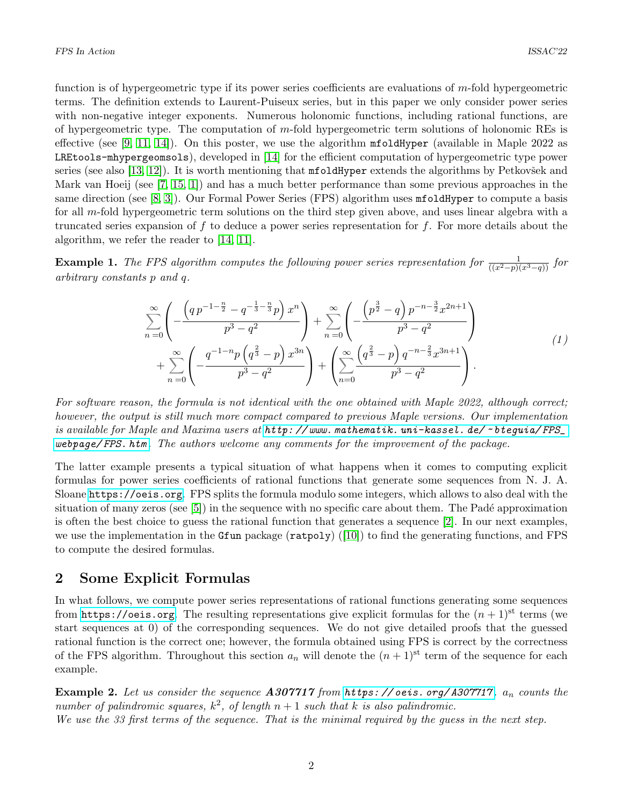function is of hypergeometric type if its power series coefficients are evaluations of m-fold hypergeometric terms. The definition extends to Laurent-Puiseux series, but in this paper we only consider power series with non-negative integer exponents. Numerous holonomic functions, including rational functions, are of hypergeometric type. The computation of m-fold hypergeometric term solutions of holonomic REs is effective (see [\[9,](#page-3-1) [11,](#page-4-0) [14\]](#page-4-1)). On this poster, we use the algorithm  $m$  foldHyper (available in Maple 2022 as LREtools-mhypergeomsols), developed in [\[14\]](#page-4-1) for the efficient computation of hypergeometric type power series (see also [\[13,](#page-4-2) [12\]](#page-4-3)). It is worth mentioning that  $m$  foldHyper extends the algorithms by Petkovšek and Mark van Hoeij (see [\[7,](#page-3-2) [15,](#page-4-4) [1\]](#page-3-3)) and has a much better performance than some previous approaches in the same direction (see [\[8,](#page-3-4) [3\]](#page-3-5)). Our Formal Power Series (FPS) algorithm uses **mfoldHyper** to compute a basis for all m-fold hypergeometric term solutions on the third step given above, and uses linear algebra with a truncated series expansion of f to deduce a power series representation for f. For more details about the algorithm, we refer the reader to [\[14,](#page-4-1) [11\]](#page-4-0).

**Example 1.** The FPS algorithm computes the following power series representation for  $\frac{1}{((x^2-p)(x^3-q))}$  for arbitrary constants p and q.

$$
\sum_{n=0}^{\infty} \left( -\frac{\left( q \, p^{-1 - \frac{n}{2}} - q^{-\frac{1}{3} - \frac{n}{3}} p \right) x^n}{p^3 - q^2} \right) + \sum_{n=0}^{\infty} \left( -\frac{\left( p^{\frac{3}{2}} - q \right) p^{-n - \frac{3}{2}} x^{2n+1}}{p^3 - q^2} \right) + \sum_{n=0}^{\infty} \left( -\frac{q^{-1 - n} p \left( q^{\frac{2}{3}} - p \right) x^{3n}}{p^3 - q^2} \right) + \left( \sum_{n=0}^{\infty} \frac{\left( q^{\frac{2}{3}} - p \right) q^{-n - \frac{2}{3}} x^{3n+1}}{p^3 - q^2} \right). \tag{1}
$$

For software reason, the formula is not identical with the one obtained with Maple 2022, although correct; however, the output is still much more compact compared to previous Maple versions. Our implementation is available for Maple and Maxima users at [http: // www. mathematik. uni-kassel. de/](http://www.mathematik.uni-kassel.de/~bteguia/FPS_webpage/FPS.htm) ~ bteguia/ FPS\_ [webpage/ FPS. htm](http://www.mathematik.uni-kassel.de/~bteguia/FPS_webpage/FPS.htm) . The authors welcome any comments for the improvement of the package.

The latter example presents a typical situation of what happens when it comes to computing explicit formulas for power series coefficients of rational functions that generate some sequences from N. J. A. Sloane <https://oeis.org>. FPS splits the formula modulo some integers, which allows to also deal with the situation of many zeros (see  $[5]$ ) in the sequence with no specific care about them. The Padé approximation is often the best choice to guess the rational function that generates a sequence [\[2\]](#page-3-7). In our next examples, we use the implementation in the Gfun package  $(\text{ratpoly})$  ([\[10\]](#page-4-5)) to find the generating functions, and FPS to compute the desired formulas.

#### 2 Some Explicit Formulas

In what follows, we compute power series representations of rational functions generating some sequences from <https://oeis.org>. The resulting representations give explicit formulas for the  $(n + 1)$ <sup>st</sup> terms (we start sequences at 0) of the corresponding sequences. We do not give detailed proofs that the guessed rational function is the correct one; however, the formula obtained using FPS is correct by the correctness of the FPS algorithm. Throughout this section  $a_n$  will denote the  $(n+1)^{st}$  term of the sequence for each example.

**Example 2.** Let us consider the sequence  $A307717$  from  $https://oeis.org/A307717. a_n$  counts the number of palindromic squares,  $k^2$ , of length  $n+1$  such that k is also palindromic. We use the 33 first terms of the sequence. That is the minimal required by the guess in the next step.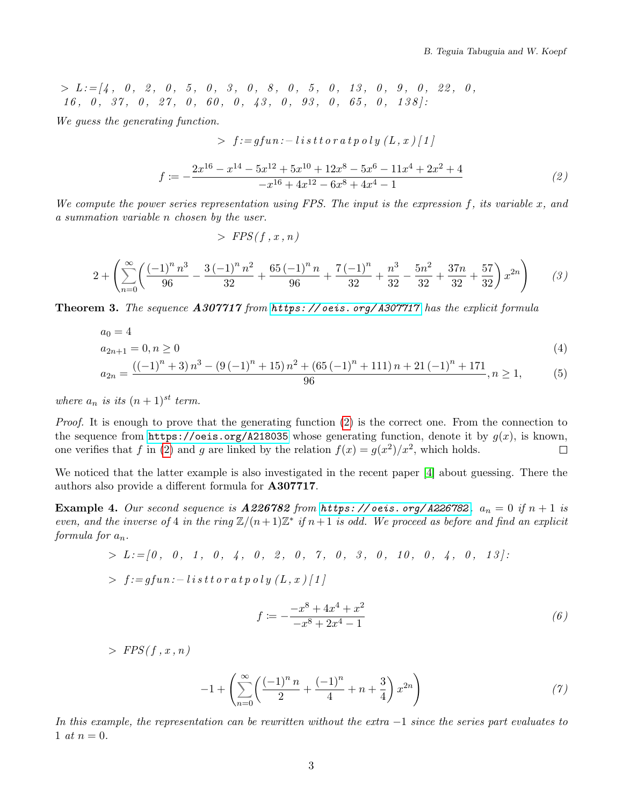$> L := [4, 0, 2, 0, 5, 0, 3, 0, 8, 0, 5, 0, 13, 0, 9, 0, 22, 0,$  $16, 0, 37, 0, 27, 0, 60, 0, 43, 0, 93, 0, 65, 0, 138$ 

<span id="page-2-0"></span>We guess the generating function.

> 
$$
f := gfun: -\operatorname{list} \operatorname{tr} \operatorname{or} \operatorname{at} \operatorname{p} \operatorname{o} \operatorname{ly} (L, x) [1]
$$
  

$$
f := -\frac{2x^{16} - x^{14} - 5x^{12} + 5x^{10} + 12x^8 - 5x^6 - 11x^4 + 2x^2 + 4}{-x^{16} + 4x^{12} - 6x^8 + 4x^4 - 1}
$$
(2)

We compute the power series representation using FPS. The input is the expression  $f$ , its variable  $x$ , and a summation variable n chosen by the user.

 $>$  FPS(f, x, n)

$$
2 + \left(\sum_{n=0}^{\infty} \left(\frac{(-1)^n n^3}{96} - \frac{3(-1)^n n^2}{32} + \frac{65(-1)^n n}{96} + \frac{7(-1)^n}{32} + \frac{n^3}{32} - \frac{5n^2}{32} + \frac{37n}{32} + \frac{57}{32}\right) x^{2n}\right) \tag{3}
$$

Theorem 3. The sequence A307717 from https://oeis.org/A307717 has the explicit formula

$$
a_0 = 4
$$
  
\n
$$
a_{2n+1} = 0, n \ge 0
$$
  
\n
$$
a_{2n} = \frac{((-1)^n + 3) n^3 - (9(-1)^n + 15) n^2 + (65(-1)^n + 111) n + 21(-1)^n + 171}{96}, n \ge 1,
$$
\n(4)

$$
n = \frac{((-1)^n + 3)n^3 - (9(-1)^n + 15)n^2 + (65(-1)^n + 111)n + 21(-1)^n + 171}{96}, n \ge 1,
$$
 (5)

where  $a_n$  is its  $(n+1)^{st}$  term.

Proof. It is enough to prove that the generating function [\(2\)](#page-2-0) is the correct one. From the connection to the sequence from <https://oeis.org/A218035> whose generating function, denote it by  $g(x)$ , is known, one verifies that f in [\(2\)](#page-2-0) and g are linked by the relation  $f(x) = g(x^2)/x^2$ , which holds.  $\Box$ 

We noticed that the latter example is also investigated in the recent paper [\[4\]](#page-3-8) about guessing. There the authors also provide a different formula for A307717.

**Example 4.** Our second sequence is  $A226782$  from https://oeis.org/A226782.  $a_n = 0$  if  $n + 1$  is even, and the inverse of 4 in the ring  $\mathbb{Z}/(n+1)\mathbb{Z}^*$  if  $n+1$  is odd. We proceed as before and find an explicit formula for  $a_n$ .

<span id="page-2-1"></span>
$$
> L := [0, 0, 1, 0, 4, 0, 2, 0, 7, 0, 3, 0, 10, 0, 4, 0, 13]:
$$
  
>  $f := g fun: - listtorat poly(L, x)[1]$ 

$$
f \coloneqq -\frac{-x^8 + 4x^4 + x^2}{-x^8 + 2x^4 - 1} \tag{6}
$$

 $>$  FPS(f, x, n)  $-1 + \left(\sum_{n=0}^{\infty} \left(\frac{(-1)^n n}{n} + \frac{(-1)^n}{n} + n + \frac{3}{4}\right) x^{2n}\right)$  (7)  $n=0$  $\left(\left(-1\right)^n n\right)$  $\frac{(1)^n n}{2} + \frac{(-1)^n}{4}$  $\frac{(1)^n}{4} + n + \frac{3}{4}$ 4  $x^{2n}$ 

In this example, the representation can be rewritten without the extra  $-1$  since the series part evaluates to 1 *at*  $n = 0$ .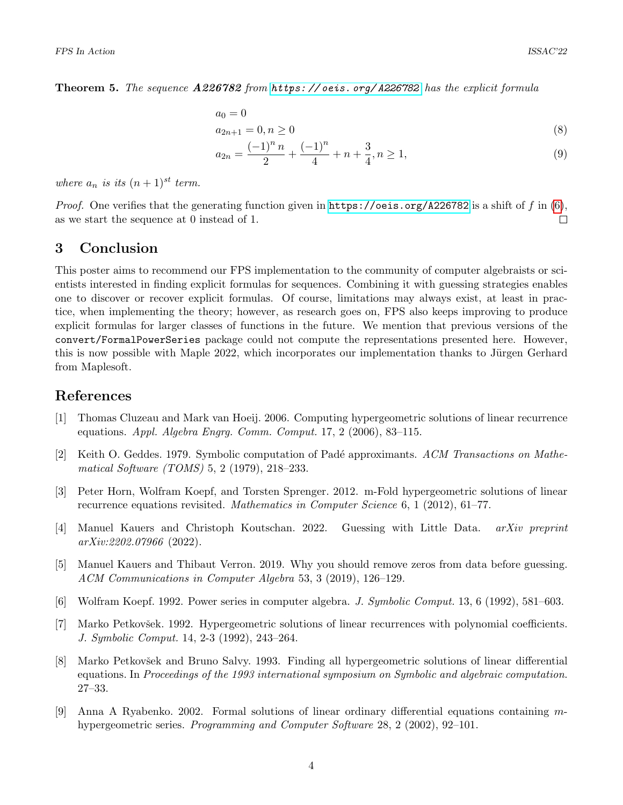Theorem 5. The sequence A226782 from [https: // oeis. org/ A226782](https://oeis.org/A226782) has the explicit formula

$$
a_0 = 0
$$
  
\n
$$
a_{2n+1} = 0, n \ge 0
$$
\n(8)

$$
a_{2n} = \frac{(-1)^n n}{2} + \frac{(-1)^n}{4} + n + \frac{3}{4}, n \ge 1,
$$
\n(9)

where  $a_n$  is its  $(n+1)^{st}$  term.

*Proof.* One verifies that the generating function given in <https://oeis.org/A226782> is a shift of f in  $(6)$ , as we start the sequence at 0 instead of 1.  $\Box$ 

## 3 Conclusion

This poster aims to recommend our FPS implementation to the community of computer algebraists or scientists interested in finding explicit formulas for sequences. Combining it with guessing strategies enables one to discover or recover explicit formulas. Of course, limitations may always exist, at least in practice, when implementing the theory; however, as research goes on, FPS also keeps improving to produce explicit formulas for larger classes of functions in the future. We mention that previous versions of the convert/FormalPowerSeries package could not compute the representations presented here. However, this is now possible with Maple 2022, which incorporates our implementation thanks to Jürgen Gerhard from Maplesoft.

## References

- <span id="page-3-3"></span>[1] Thomas Cluzeau and Mark van Hoeij. 2006. Computing hypergeometric solutions of linear recurrence equations. Appl. Algebra Engrg. Comm. Comput. 17, 2 (2006), 83–115.
- <span id="page-3-7"></span>[2] Keith O. Geddes. 1979. Symbolic computation of Padé approximants. ACM Transactions on Mathematical Software (TOMS) 5, 2 (1979), 218–233.
- <span id="page-3-5"></span>[3] Peter Horn, Wolfram Koepf, and Torsten Sprenger. 2012. m-Fold hypergeometric solutions of linear recurrence equations revisited. Mathematics in Computer Science 6, 1 (2012), 61–77.
- <span id="page-3-8"></span>[4] Manuel Kauers and Christoph Koutschan. 2022. Guessing with Little Data. arXiv preprint arXiv:2202.07966 (2022).
- <span id="page-3-6"></span>[5] Manuel Kauers and Thibaut Verron. 2019. Why you should remove zeros from data before guessing. ACM Communications in Computer Algebra 53, 3 (2019), 126–129.
- <span id="page-3-0"></span>[6] Wolfram Koepf. 1992. Power series in computer algebra. J. Symbolic Comput. 13, 6 (1992), 581–603.
- <span id="page-3-2"></span>[7] Marko Petkovšek. 1992. Hypergeometric solutions of linear recurrences with polynomial coefficients. J. Symbolic Comput. 14, 2-3 (1992), 243–264.
- <span id="page-3-4"></span>[8] Marko Petkovšek and Bruno Salvy. 1993. Finding all hypergeometric solutions of linear differential equations. In Proceedings of the 1993 international symposium on Symbolic and algebraic computation. 27–33.
- <span id="page-3-1"></span>[9] Anna A Ryabenko. 2002. Formal solutions of linear ordinary differential equations containing mhypergeometric series. Programming and Computer Software 28, 2 (2002), 92–101.